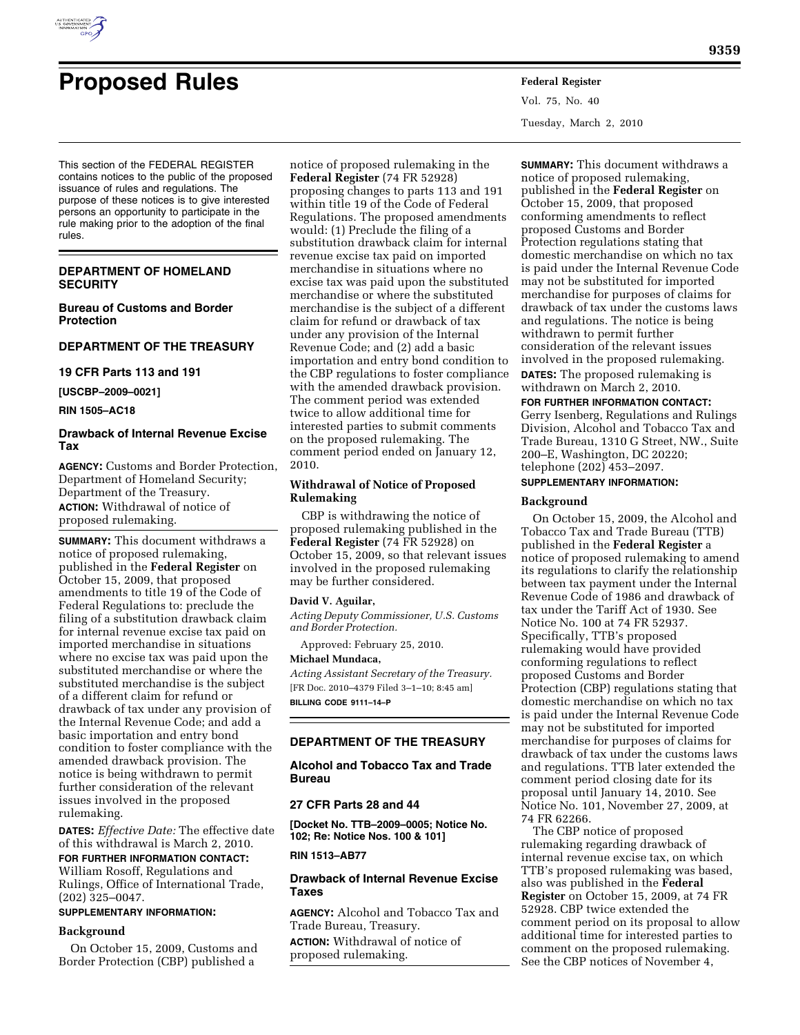

# **Proposed Rules Federal Register**

This section of the FEDERAL REGISTER contains notices to the public of the proposed issuance of rules and regulations. The purpose of these notices is to give interested persons an opportunity to participate in the rule making prior to the adoption of the final rules.

# **DEPARTMENT OF HOMELAND SECURITY**

**Bureau of Customs and Border Protection** 

# **DEPARTMENT OF THE TREASURY**

# **19 CFR Parts 113 and 191**

**[USCBP–2009–0021]** 

**RIN 1505–AC18** 

# **Drawback of Internal Revenue Excise Tax**

**AGENCY:** Customs and Border Protection, Department of Homeland Security; Department of the Treasury. **ACTION:** Withdrawal of notice of proposed rulemaking.

**SUMMARY:** This document withdraws a notice of proposed rulemaking, published in the **Federal Register** on October 15, 2009, that proposed amendments to title 19 of the Code of Federal Regulations to: preclude the filing of a substitution drawback claim for internal revenue excise tax paid on imported merchandise in situations where no excise tax was paid upon the substituted merchandise or where the substituted merchandise is the subject of a different claim for refund or drawback of tax under any provision of the Internal Revenue Code; and add a basic importation and entry bond condition to foster compliance with the amended drawback provision. The notice is being withdrawn to permit further consideration of the relevant issues involved in the proposed rulemaking.

**DATES:** *Effective Date:* The effective date of this withdrawal is March 2, 2010.

#### **FOR FURTHER INFORMATION CONTACT:**  William Rosoff, Regulations and

Rulings, Office of International Trade, (202) 325–0047.

# **SUPPLEMENTARY INFORMATION:**

#### **Background**

On October 15, 2009, Customs and Border Protection (CBP) published a

notice of proposed rulemaking in the **Federal Register** (74 FR 52928) proposing changes to parts 113 and 191 within title 19 of the Code of Federal Regulations. The proposed amendments would: (1) Preclude the filing of a substitution drawback claim for internal revenue excise tax paid on imported merchandise in situations where no excise tax was paid upon the substituted merchandise or where the substituted merchandise is the subject of a different claim for refund or drawback of tax under any provision of the Internal Revenue Code; and (2) add a basic importation and entry bond condition to the CBP regulations to foster compliance with the amended drawback provision. The comment period was extended twice to allow additional time for interested parties to submit comments on the proposed rulemaking. The comment period ended on January 12, 2010.

## **Withdrawal of Notice of Proposed Rulemaking**

CBP is withdrawing the notice of proposed rulemaking published in the **Federal Register** (74 FR 52928) on October 15, 2009, so that relevant issues involved in the proposed rulemaking may be further considered.

#### **David V. Aguilar,**

*Acting Deputy Commissioner, U.S. Customs and Border Protection.* 

Approved: February 25, 2010.

# **Michael Mundaca,**

*Acting Assistant Secretary of the Treasury.*  [FR Doc. 2010–4379 Filed 3–1–10; 8:45 am] **BILLING CODE 9111–14–P** 

# **DEPARTMENT OF THE TREASURY**

#### **Alcohol and Tobacco Tax and Trade Bureau**

#### **27 CFR Parts 28 and 44**

**[Docket No. TTB–2009–0005; Notice No. 102; Re: Notice Nos. 100 & 101]** 

# **RIN 1513–AB77**

# **Drawback of Internal Revenue Excise Taxes**

**AGENCY:** Alcohol and Tobacco Tax and Trade Bureau, Treasury. **ACTION:** Withdrawal of notice of proposed rulemaking.

Vol. 75, No. 40 Tuesday, March 2, 2010

**SUMMARY:** This document withdraws a notice of proposed rulemaking, published in the **Federal Register** on October 15, 2009, that proposed conforming amendments to reflect proposed Customs and Border Protection regulations stating that domestic merchandise on which no tax is paid under the Internal Revenue Code may not be substituted for imported merchandise for purposes of claims for drawback of tax under the customs laws and regulations. The notice is being withdrawn to permit further consideration of the relevant issues involved in the proposed rulemaking. **DATES:** The proposed rulemaking is withdrawn on March 2, 2010.

#### **FOR FURTHER INFORMATION CONTACT:**

Gerry Isenberg, Regulations and Rulings Division, Alcohol and Tobacco Tax and Trade Bureau, 1310 G Street, NW., Suite 200–E, Washington, DC 20220; telephone (202) 453–2097.

# **SUPPLEMENTARY INFORMATION:**

### **Background**

On October 15, 2009, the Alcohol and Tobacco Tax and Trade Bureau (TTB) published in the **Federal Register** a notice of proposed rulemaking to amend its regulations to clarify the relationship between tax payment under the Internal Revenue Code of 1986 and drawback of tax under the Tariff Act of 1930. See Notice No. 100 at 74 FR 52937. Specifically, TTB's proposed rulemaking would have provided conforming regulations to reflect proposed Customs and Border Protection (CBP) regulations stating that domestic merchandise on which no tax is paid under the Internal Revenue Code may not be substituted for imported merchandise for purposes of claims for drawback of tax under the customs laws and regulations. TTB later extended the comment period closing date for its proposal until January 14, 2010. See Notice No. 101, November 27, 2009, at 74 FR 62266.

The CBP notice of proposed rulemaking regarding drawback of internal revenue excise tax, on which TTB's proposed rulemaking was based, also was published in the **Federal Register** on October 15, 2009, at 74 FR 52928. CBP twice extended the comment period on its proposal to allow additional time for interested parties to comment on the proposed rulemaking. See the CBP notices of November 4,